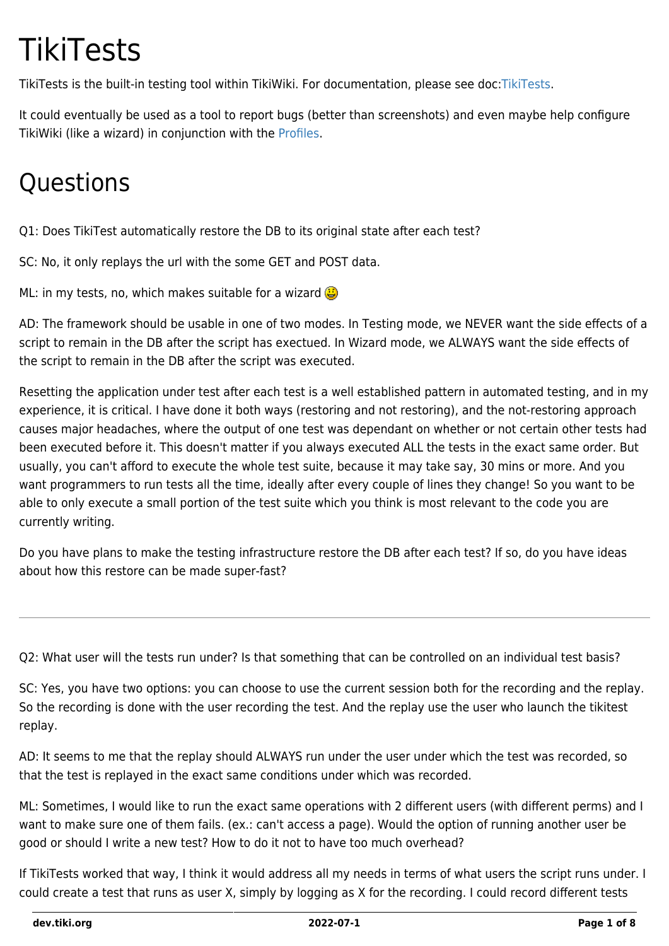# **TikiTests**

TikiTests is the built-in testing tool within TikiWiki. For documentation, please see doc[:TikiTests](http://doc.tiki.org/TikiTests).

It could eventually be used as a tool to report bugs (better than screenshots) and even maybe help configure TikiWiki (like a wizard) in conjunction with the [Profiles](https://dev.tiki.org/Profiles).

## **Questions**

Q1: Does TikiTest automatically restore the DB to its original state after each test?

SC: No, it only replays the url with the some GET and POST data.

ML: in my tests, no, which makes suitable for a wizard  $\bigoplus$ 

AD: The framework should be usable in one of two modes. In Testing mode, we NEVER want the side effects of a script to remain in the DB after the script has exectued. In Wizard mode, we ALWAYS want the side effects of the script to remain in the DB after the script was executed.

Resetting the application under test after each test is a well established pattern in automated testing, and in my experience, it is critical. I have done it both ways (restoring and not restoring), and the not-restoring approach causes major headaches, where the output of one test was dependant on whether or not certain other tests had been executed before it. This doesn't matter if you always executed ALL the tests in the exact same order. But usually, you can't afford to execute the whole test suite, because it may take say, 30 mins or more. And you want programmers to run tests all the time, ideally after every couple of lines they change! So you want to be able to only execute a small portion of the test suite which you think is most relevant to the code you are currently writing.

Do you have plans to make the testing infrastructure restore the DB after each test? If so, do you have ideas about how this restore can be made super-fast?

Q2: What user will the tests run under? Is that something that can be controlled on an individual test basis?

SC: Yes, you have two options: you can choose to use the current session both for the recording and the replay. So the recording is done with the user recording the test. And the replay use the user who launch the tikitest replay.

AD: It seems to me that the replay should ALWAYS run under the user under which the test was recorded, so that the test is replayed in the exact same conditions under which was recorded.

ML: Sometimes, I would like to run the exact same operations with 2 different users (with different perms) and I want to make sure one of them fails. (ex.: can't access a page). Would the option of running another user be good or should I write a new test? How to do it not to have too much overhead?

If TikiTests worked that way, I think it would address all my needs in terms of what users the script runs under. I could create a test that runs as user X, simply by logging as X for the recording. I could record different tests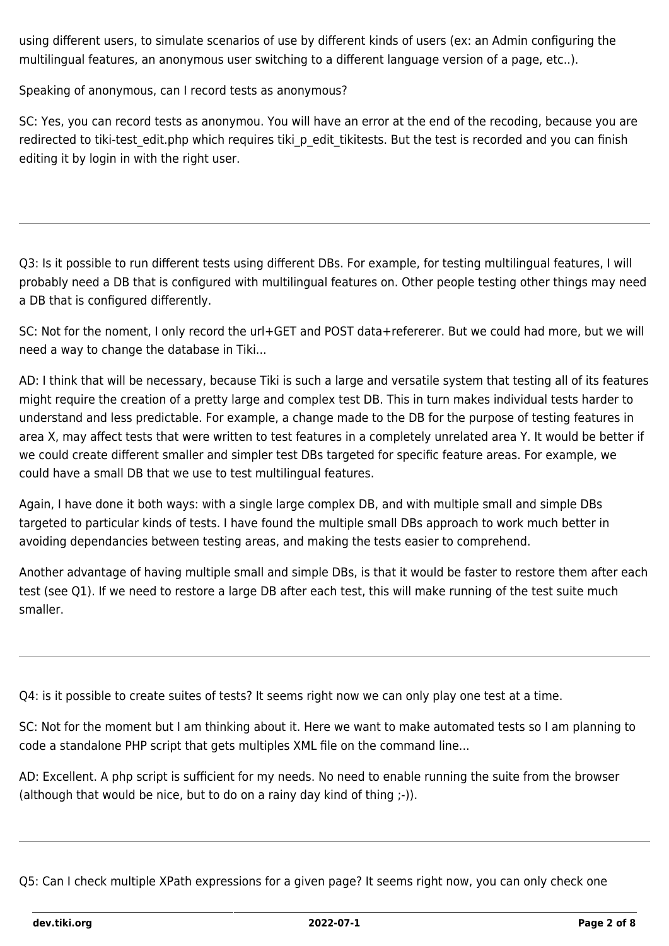using different users, to simulate scenarios of use by different kinds of users (ex: an Admin configuring the multilingual features, an anonymous user switching to a different language version of a page, etc..).

Speaking of anonymous, can I record tests as anonymous?

SC: Yes, you can record tests as anonymou. You will have an error at the end of the recoding, because you are redirected to tiki-test\_edit.php which requires tiki\_p\_edit\_tikitests. But the test is recorded and you can finish editing it by login in with the right user.

Q3: Is it possible to run different tests using different DBs. For example, for testing multilingual features, I will probably need a DB that is configured with multilingual features on. Other people testing other things may need a DB that is configured differently.

SC: Not for the noment, I only record the url+GET and POST data+refererer. But we could had more, but we will need a way to change the database in Tiki...

AD: I think that will be necessary, because Tiki is such a large and versatile system that testing all of its features might require the creation of a pretty large and complex test DB. This in turn makes individual tests harder to understand and less predictable. For example, a change made to the DB for the purpose of testing features in area X, may affect tests that were written to test features in a completely unrelated area Y. It would be better if we could create different smaller and simpler test DBs targeted for specific feature areas. For example, we could have a small DB that we use to test multilingual features.

Again, I have done it both ways: with a single large complex DB, and with multiple small and simple DBs targeted to particular kinds of tests. I have found the multiple small DBs approach to work much better in avoiding dependancies between testing areas, and making the tests easier to comprehend.

Another advantage of having multiple small and simple DBs, is that it would be faster to restore them after each test (see Q1). If we need to restore a large DB after each test, this will make running of the test suite much smaller.

Q4: is it possible to create suites of tests? It seems right now we can only play one test at a time.

SC: Not for the moment but I am thinking about it. Here we want to make automated tests so I am planning to code a standalone PHP script that gets multiples XML file on the command line...

AD: Excellent. A php script is sufficient for my needs. No need to enable running the suite from the browser (although that would be nice, but to do on a rainy day kind of thing ;-)).

Q5: Can I check multiple XPath expressions for a given page? It seems right now, you can only check one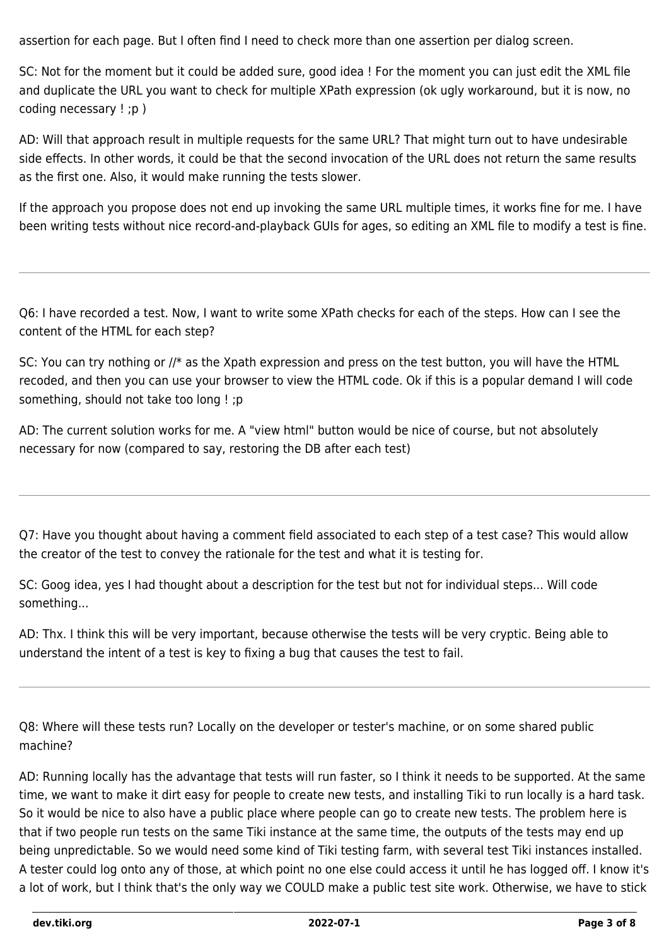assertion for each page. But I often find I need to check more than one assertion per dialog screen.

SC: Not for the moment but it could be added sure, good idea ! For the moment you can just edit the XML file and duplicate the URL you want to check for multiple XPath expression (ok ugly workaround, but it is now, no coding necessary ! ;p )

AD: Will that approach result in multiple requests for the same URL? That might turn out to have undesirable side effects. In other words, it could be that the second invocation of the URL does not return the same results as the first one. Also, it would make running the tests slower.

If the approach you propose does not end up invoking the same URL multiple times, it works fine for me. I have been writing tests without nice record-and-playback GUIs for ages, so editing an XML file to modify a test is fine.

Q6: I have recorded a test. Now, I want to write some XPath checks for each of the steps. How can I see the content of the HTML for each step?

SC: You can try nothing or //\* as the Xpath expression and press on the test button, you will have the HTML recoded, and then you can use your browser to view the HTML code. Ok if this is a popular demand I will code something, should not take too long ! ;p

AD: The current solution works for me. A "view html" button would be nice of course, but not absolutely necessary for now (compared to say, restoring the DB after each test)

Q7: Have you thought about having a comment field associated to each step of a test case? This would allow the creator of the test to convey the rationale for the test and what it is testing for.

SC: Goog idea, yes I had thought about a description for the test but not for individual steps... Will code something...

AD: Thx. I think this will be very important, because otherwise the tests will be very cryptic. Being able to understand the intent of a test is key to fixing a bug that causes the test to fail.

Q8: Where will these tests run? Locally on the developer or tester's machine, or on some shared public machine?

AD: Running locally has the advantage that tests will run faster, so I think it needs to be supported. At the same time, we want to make it dirt easy for people to create new tests, and installing Tiki to run locally is a hard task. So it would be nice to also have a public place where people can go to create new tests. The problem here is that if two people run tests on the same Tiki instance at the same time, the outputs of the tests may end up being unpredictable. So we would need some kind of Tiki testing farm, with several test Tiki instances installed. A tester could log onto any of those, at which point no one else could access it until he has logged off. I know it's a lot of work, but I think that's the only way we COULD make a public test site work. Otherwise, we have to stick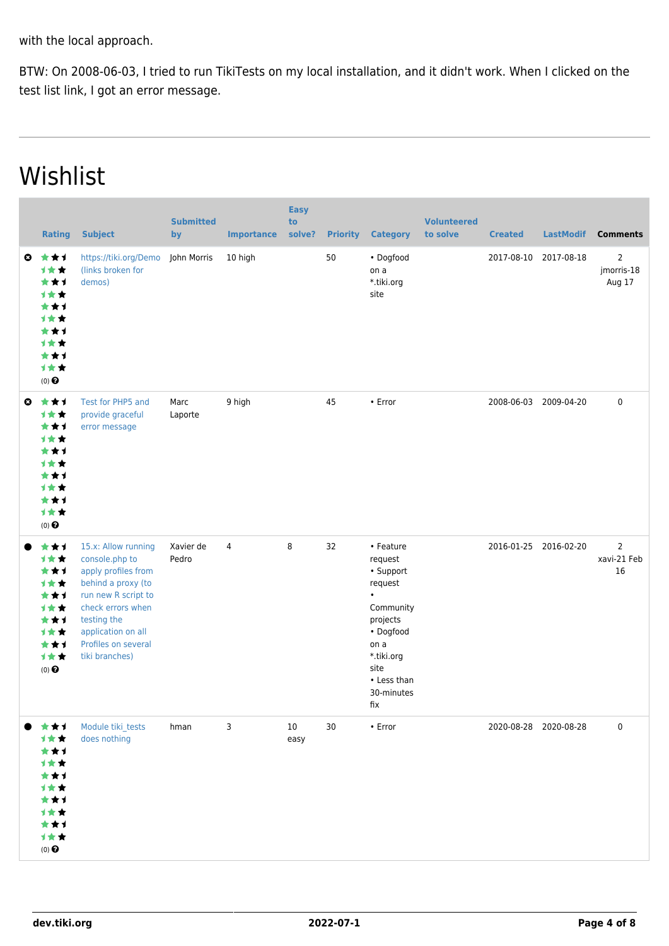with the local approach.

BTW: On 2008-06-03, I tried to run TikiTests on my local installation, and it didn't work. When I clicked on the test list link, I got an error message.

## Wishlist

|                       | <b>Rating</b>                                                                                            | <b>Subject</b>                                                                                                                                                                                               | <b>Submitted</b><br>by | <b>Importance</b> | <b>Easy</b><br>to<br>solve? | <b>Priority</b> | <b>Category</b>                                                                                                                                      | <b>Volunteered</b><br>to solve | <b>Created</b> | <b>LastModif</b>      | <b>Comments</b>                        |
|-----------------------|----------------------------------------------------------------------------------------------------------|--------------------------------------------------------------------------------------------------------------------------------------------------------------------------------------------------------------|------------------------|-------------------|-----------------------------|-----------------|------------------------------------------------------------------------------------------------------------------------------------------------------|--------------------------------|----------------|-----------------------|----------------------------------------|
| $\boldsymbol{\omega}$ | ***<br>1★★<br>***<br><b>1**</b><br>**1<br><b>1**</b><br>**1<br><b>1**</b><br>***<br>计女女<br>$(0)$ $\odot$ | https://tiki.org/Demo<br>(links broken for<br>demos)                                                                                                                                                         | John Morris            | 10 high           |                             | 50              | • Dogfood<br>on a<br>*.tiki.org<br>site                                                                                                              |                                | 2017-08-10     | 2017-08-18            | $\overline{2}$<br>jmorris-18<br>Aug 17 |
| $\bullet$             | ***<br>计女女<br>***<br>计女女<br>***<br><b>1**</b><br>**1<br><b>1**</b><br>**1<br>计女女<br>$(0)$ $\odot$        | Test for PHP5 and<br>provide graceful<br>error message                                                                                                                                                       | Marc<br>Laporte        | 9 high            |                             | 45              | • Error                                                                                                                                              |                                | 2008-06-03     | 2009-04-20            | $\pmb{0}$                              |
|                       | ***<br>计女女<br>***<br><b>1**</b><br>***<br>计女女<br>***<br>计女女<br>***<br>计女女<br>$(0)$ $\odot$               | 15.x: Allow running<br>console.php to<br>apply profiles from<br>behind a proxy (to<br>run new R script to<br>check errors when<br>testing the<br>application on all<br>Profiles on several<br>tiki branches) | Xavier de<br>Pedro     | $\overline{4}$    | 8                           | 32              | • Feature<br>request<br>• Support<br>request<br>Community<br>projects<br>• Dogfood<br>on a<br>*.tiki.org<br>site<br>• Less than<br>30-minutes<br>fix |                                |                | 2016-01-25 2016-02-20 | $\overline{2}$<br>xavi-21 Feb<br>16    |
|                       | ***<br>计女女<br>***<br>1女女<br>***<br>计女女<br>***<br>计女女<br>***<br>1女女<br>$(0)$ $\odot$                      | Module tiki_tests<br>does nothing                                                                                                                                                                            | hman                   | 3                 | 10<br>easy                  | 30              | $\bullet$ Error                                                                                                                                      |                                |                | 2020-08-28 2020-08-28 | 0                                      |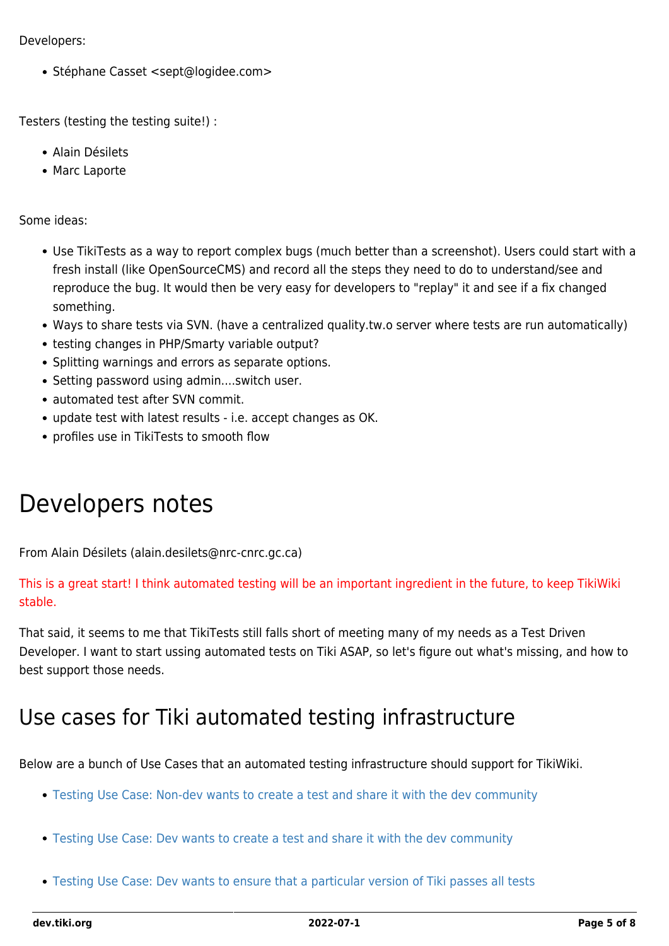Developers:

• Stéphane Casset <sept@logidee.com>

Testers (testing the testing suite!) :

- Alain Désilets
- Marc Laporte

Some ideas:

- Use TikiTests as a way to report complex bugs (much better than a screenshot). Users could start with a fresh install (like OpenSourceCMS) and record all the steps they need to do to understand/see and reproduce the bug. It would then be very easy for developers to "replay" it and see if a fix changed something.
- Ways to share tests via SVN. (have a centralized quality.tw.o server where tests are run automatically)
- testing changes in PHP/Smarty variable output?
- Splitting warnings and errors as separate options.
- Setting password using admin....switch user.
- automated test after SVN commit.
- update test with latest results i.e. accept changes as OK.
- profiles use in TikiTests to smooth flow

### Developers notes

From Alain Désilets (alain.desilets@nrc-cnrc.gc.ca)

This is a great start! I think automated testing will be an important ingredient in the future, to keep TikiWiki stable.

That said, it seems to me that TikiTests still falls short of meeting many of my needs as a Test Driven Developer. I want to start ussing automated tests on Tiki ASAP, so let's figure out what's missing, and how to best support those needs.

#### Use cases for Tiki automated testing infrastructure

Below are a bunch of Use Cases that an automated testing infrastructure should support for TikiWiki.

- [Testing Use Case: Non-dev wants to create a test and share it with the dev community](https://dev.tiki.org/Testing-Use-Case%3A-Non-dev-wants-to-create-a-test-and-share-it-with-the-dev-community)
- [Testing Use Case: Dev wants to create a test and share it with the dev community](https://dev.tiki.org/Testing-Use-Case%3A-Dev-wants-to-create-a-test-and-share-it-with-the-dev-community)
- [Testing Use Case: Dev wants to ensure that a particular version of Tiki passes all tests](https://dev.tiki.org/Testing-Use-Case%3A-Dev-wants-to-ensure-that-a-particular-version-of-Tiki-passes-all-tests)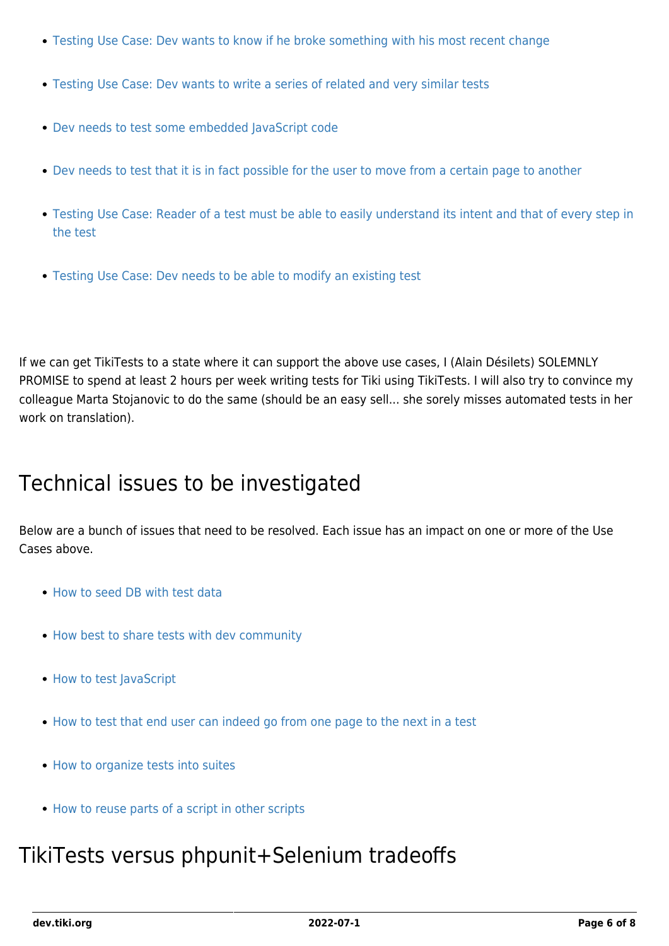- [Testing Use Case: Dev wants to know if he broke something with his most recent change](https://dev.tiki.org/Testing-Use-Case%3A-Dev-wants-to-know-if-he-broke-something-with-his-most-recent-change)
- [Testing Use Case: Dev wants to write a series of related and very similar tests](https://dev.tiki.org/Testing-Use-Case%3A-Dev-wants-to-write-a-series-of-related-and-very-similar-tests)
- [Dev needs to test some embedded JavaScript code](https://dev.tiki.org/Dev-needs-to-test-some-embedded-JavaScript-code)
- [Dev needs to test that it is in fact possible for the user to move from a certain page to another](https://dev.tiki.org/Dev-needs-to-test-that-it-is-in-fact-possible-for-the-user-to-move-from-a-certain-page-to-another)
- [Testing Use Case: Reader of a test must be able to easily understand its intent and that of every step in](https://dev.tiki.org/Testing-Use-Case%3A-Reader-of-a-test-must-be-able-to-easily-understand-its-intent-and-that-of-every-step-in-the-test) [the test](https://dev.tiki.org/Testing-Use-Case%3A-Reader-of-a-test-must-be-able-to-easily-understand-its-intent-and-that-of-every-step-in-the-test)
- [Testing Use Case: Dev needs to be able to modify an existing test](https://dev.tiki.org/Testing-Use-Case%3A-Dev-needs-to-be-able-to-modify-an-existing-test)

If we can get TikiTests to a state where it can support the above use cases, I (Alain Désilets) SOLEMNLY PROMISE to spend at least 2 hours per week writing tests for Tiki using TikiTests. I will also try to convince my colleague Marta Stojanovic to do the same (should be an easy sell... she sorely misses automated tests in her work on translation).

#### Technical issues to be investigated

Below are a bunch of issues that need to be resolved. Each issue has an impact on one or more of the Use Cases above.

- [How to seed DB with test data](https://dev.tiki.org/How-to-seed-DB-with-test-data)
- [How best to share tests with dev community](https://dev.tiki.org/How-best-to-share-tests-with-dev-community)
- [How to test JavaScript](https://dev.tiki.org/How-to-test-JavaScript)
- [How to test that end user can indeed go from one page to the next in a test](https://dev.tiki.org/How-to-test-that-end-user-can-indeed-go-from-one-page-to-the-next-in-a-test)
- [How to organize tests into suites](https://dev.tiki.org/How-to-organize-tests-into-suites)
- [How to reuse parts of a script in other scripts](https://dev.tiki.org/How-to-reuse-parts-of-a-script-in-other-scripts)

#### TikiTests versus phpunit+Selenium tradeoffs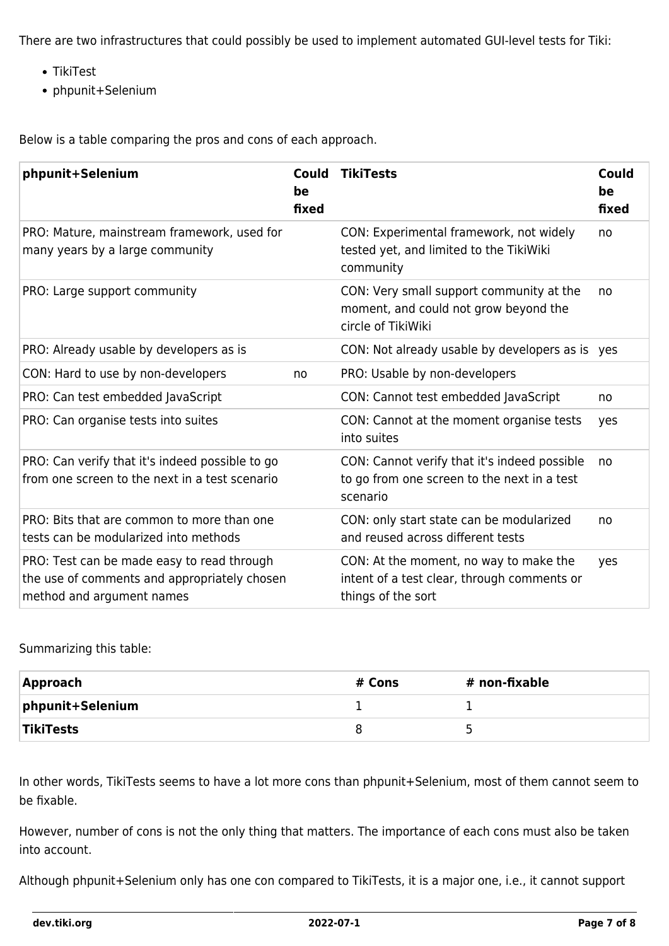There are two infrastructures that could possibly be used to implement automated GUI-level tests for Tiki:

- TikiTest
- phpunit+Selenium

Below is a table comparing the pros and cons of each approach.

| phpunit+Selenium                                                                                                        | <b>Could</b><br>be<br>fixed | <b>TikiTests</b>                                                                                            | <b>Could</b><br>be<br>fixed |
|-------------------------------------------------------------------------------------------------------------------------|-----------------------------|-------------------------------------------------------------------------------------------------------------|-----------------------------|
| PRO: Mature, mainstream framework, used for<br>many years by a large community                                          |                             | CON: Experimental framework, not widely<br>tested yet, and limited to the TikiWiki<br>community             | no                          |
| PRO: Large support community                                                                                            |                             | CON: Very small support community at the<br>moment, and could not grow beyond the<br>circle of TikiWiki     | no                          |
| PRO: Already usable by developers as is                                                                                 |                             | CON: Not already usable by developers as is yes                                                             |                             |
| CON: Hard to use by non-developers                                                                                      | no                          | PRO: Usable by non-developers                                                                               |                             |
| PRO: Can test embedded JavaScript                                                                                       |                             | CON: Cannot test embedded JavaScript                                                                        | no                          |
| PRO: Can organise tests into suites                                                                                     |                             | CON: Cannot at the moment organise tests<br>into suites                                                     | yes                         |
| PRO: Can verify that it's indeed possible to go<br>from one screen to the next in a test scenario                       |                             | CON: Cannot verify that it's indeed possible<br>to go from one screen to the next in a test<br>scenario     | no                          |
| PRO: Bits that are common to more than one<br>tests can be modularized into methods                                     |                             | CON: only start state can be modularized<br>and reused across different tests                               | no                          |
| PRO: Test can be made easy to read through<br>the use of comments and appropriately chosen<br>method and argument names |                             | CON: At the moment, no way to make the<br>intent of a test clear, through comments or<br>things of the sort | yes                         |

Summarizing this table:

| Approach         | # Cons | # non-fixable |
|------------------|--------|---------------|
| phpunit+Selenium |        |               |
| <b>TikiTests</b> |        |               |

In other words, TikiTests seems to have a lot more cons than phpunit+Selenium, most of them cannot seem to be fixable.

However, number of cons is not the only thing that matters. The importance of each cons must also be taken into account.

Although phpunit+Selenium only has one con compared to TikiTests, it is a major one, i.e., it cannot support